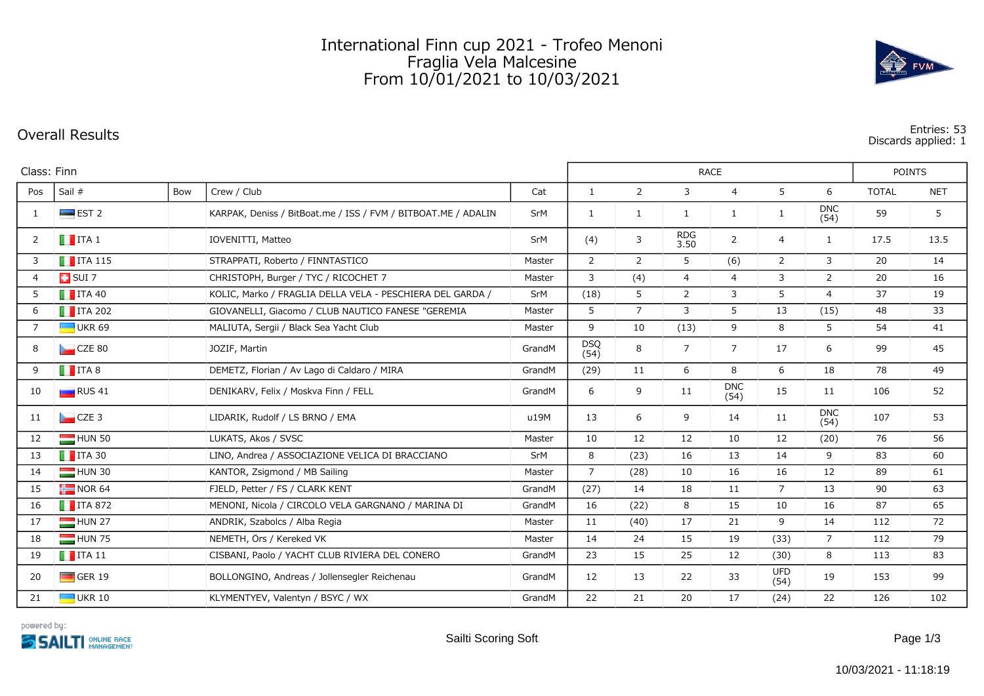## International Finn cup 2021 - Trofeo Menoni Fraglia Vela Malcesine From 10/01/2021 to 10/03/2021

**Overall Results Entries: 53 Discards applied: 1**

|             | Class: Finn            |     |                                                               |        |                    | <b>POINTS</b>  |                    |                    |                    |                    |              |            |
|-------------|------------------------|-----|---------------------------------------------------------------|--------|--------------------|----------------|--------------------|--------------------|--------------------|--------------------|--------------|------------|
| Pos         | Sail #                 | Bow | Crew / Club                                                   | Cat    | $\mathbf{1}$       | $\overline{2}$ | 3                  | $\overline{4}$     | 5                  | 6                  | <b>TOTAL</b> | <b>NET</b> |
| 1           | $\blacksquare$ EST 2   |     | KARPAK, Deniss / BitBoat.me / ISS / FVM / BITBOAT.ME / ADALIN | SrM    | $\mathbf{1}$       | 1              | 1                  | 1                  | $\mathbf{1}$       | <b>DNC</b><br>(54) | 59           | 5          |
| 2           | $\blacksquare$ ITA 1   |     | IOVENITTI, Matteo                                             | SrM    | (4)                | 3              | <b>RDG</b><br>3.50 | $\overline{2}$     | 4                  | $\mathbf{1}$       | 17.5         | 13.5       |
| 3           | $\blacksquare$ ITA 115 |     | STRAPPATI, Roberto / FINNTASTICO                              | Master | $\overline{2}$     | 2              | 5                  | (6)                | $\overline{2}$     | 3                  | 20           | 14         |
| 4           | $\Box$ SUI 7           |     | CHRISTOPH, Burger / TYC / RICOCHET 7                          | Master | 3                  | (4)            | $\overline{4}$     | $\overline{4}$     | 3                  | $\overline{2}$     | 20           | 16         |
| 5           | $\blacksquare$ ITA 40  |     | KOLIC, Marko / FRAGLIA DELLA VELA - PESCHIERA DEL GARDA /     | SrM    | (18)               | 5              | 2                  | 3                  | 5                  | $\overline{4}$     | 37           | 19         |
| 6           | $\blacksquare$ ITA 202 |     | GIOVANELLI, Giacomo / CLUB NAUTICO FANESE "GEREMIA            | Master | 5                  | $\overline{7}$ | 3                  | 5                  | 13                 | (15)               | 48           | 33         |
| $7^{\circ}$ | $\Box$ UKR 69          |     | MALIUTA, Sergii / Black Sea Yacht Club                        | Master | 9                  | 10             | (13)               | 9                  | 8                  | 5                  | 54           | 41         |
| 8           | CZE 80                 |     | JOZÍF, Martin                                                 | GrandM | <b>DSQ</b><br>(54) | 8              | $\overline{7}$     | 7                  | 17                 | 6                  | 99           | 45         |
| 9           | $\blacksquare$ ITA 8   |     | DEMETZ, Florian / Av Lago di Caldaro / MIRA                   | GrandM | (29)               | 11             | 6                  | 8                  | 6                  | 18                 | 78           | 49         |
| 10          | $\Box$ RUS 41          |     | DENIKARV, Felix / Moskva Finn / FELL                          | GrandM | 6                  | 9              | 11                 | <b>DNC</b><br>(54) | 15                 | 11                 | 106          | 52         |
| 11          | $CZE$ 3                |     | LIDARIK, Rudolf / LS BRNO / EMA                               | u19M   | 13                 | 6              | 9                  | 14                 | 11                 | <b>DNC</b><br>(54) | 107          | 53         |
| 12          | $HUN$ 50               |     | LUKATS, Akos / SVSC                                           | Master | 10                 | 12             | 12                 | 10                 | 12                 | (20)               | 76           | 56         |
| 13          | $\blacksquare$ ITA 30  |     | LINO, Andrea / ASSOCIAZIONE VELICA DI BRACCIANO               | SrM    | 8                  | (23)           | 16                 | 13                 | 14                 | 9                  | 83           | 60         |
| 14          | HUN 30                 |     | KANTOR, Zsigmond / MB Sailing                                 | Master | $\overline{7}$     | (28)           | 10                 | 16                 | 16                 | 12                 | 89           | 61         |
| 15          | $\frac{1}{2}$ NOR 64   |     | FJELD, Petter / FS / CLARK KENT                               | GrandM | (27)               | 14             | 18                 | 11                 | $\overline{7}$     | 13                 | 90           | 63         |
| 16          | $\blacksquare$ ITA 872 |     | MENONI, Nicola / CIRCOLO VELA GARGNANO / MARINA DI            | GrandM | 16                 | (22)           | 8                  | 15                 | 10                 | 16                 | 87           | 65         |
| 17          | HUN 27                 |     | ANDRIK, Szabolcs / Alba Regia                                 | Master | 11                 | (40)           | 17                 | 21                 | 9                  | 14                 | 112          | 72         |
| 18          | HUN 75                 |     | NEMETH, Ors / Kereked VK                                      | Master | 14                 | 24             | 15                 | 19                 | (33)               | $7^{\circ}$        | 112          | 79         |
| 19          | $\blacksquare$ ITA 11  |     | CISBANI, Paolo / YACHT CLUB RIVIERA DEL CONERO                | GrandM | 23                 | 15             | 25                 | 12                 | (30)               | 8                  | 113          | 83         |
| 20          | $\Box$ GER 19          |     | BOLLONGINO, Andreas / Jollensegler Reichenau                  | GrandM | $12 \overline{ }$  | 13             | 22                 | 33                 | <b>UFD</b><br>(54) | 19                 | 153          | 99         |
| 21          | $\Box$ UKR 10          |     | KLYMENTYEV, Valentyn / BSYC / WX                              | GrandM | 22                 | 21             | 20                 | 17                 | (24)               | 22                 | 126          | 102        |



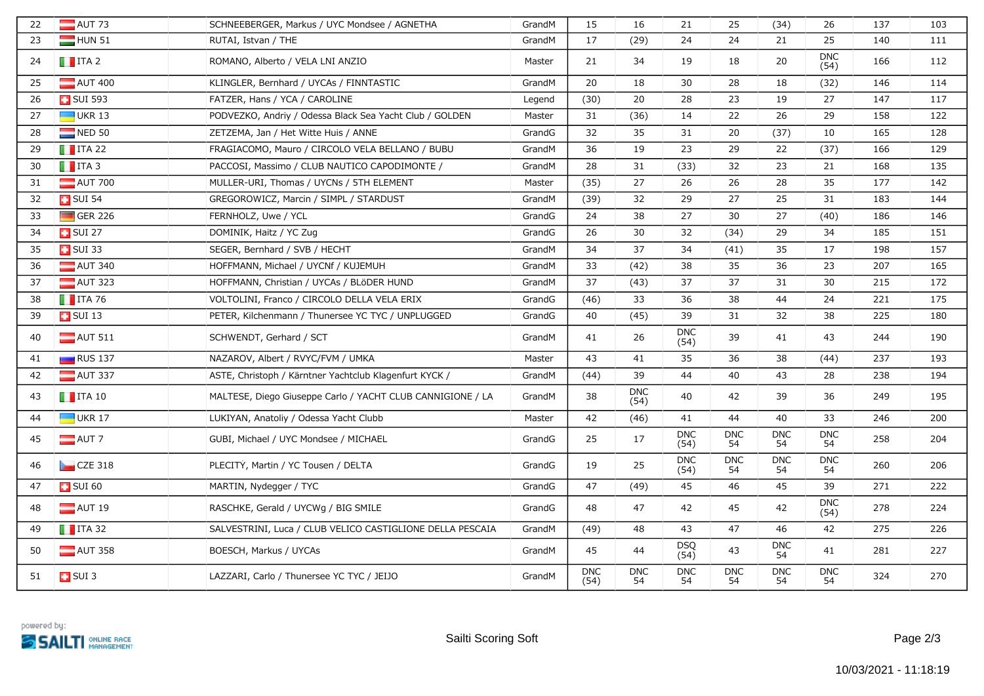| 22 | $\blacksquare$ AUT 73  | SCHNEEBERGER, Markus / UYC Mondsee / AGNETHA               | GrandM | 15                 | 16                 | 21                 | 25               | (34)             | 26                 | 137 | 103 |
|----|------------------------|------------------------------------------------------------|--------|--------------------|--------------------|--------------------|------------------|------------------|--------------------|-----|-----|
| 23 | HUN 51                 | RUTAI, Istvan / THE                                        | GrandM | 17                 | (29)               | 24                 | 24               | 21               | 25                 | 140 | 111 |
| 24 | $\blacksquare$ ITA 2   | ROMANO, Alberto / VELA LNI ANZIO                           | Master | 21                 | 34                 | 19                 | 18               | 20               | <b>DNC</b><br>(54) | 166 | 112 |
| 25 | $\blacksquare$ AUT 400 | KLINGLER, Bernhard / UYCAs / FINNTASTIC                    | GrandM | 20                 | 18                 | 30                 | 28               | 18               | (32)               | 146 | 114 |
| 26 | <b>B</b> SUI 593       | FATZER, Hans / YCA / CAROLINE                              | Legend | (30)               | 20                 | 28                 | 23               | 19               | 27                 | 147 | 117 |
| 27 | $\blacksquare$ UKR 13  | PODVEZKO, Andriy / Odessa Black Sea Yacht Club / GOLDEN    | Master | 31                 | (36)               | 14                 | 22               | 26               | 29                 | 158 | 122 |
| 28 | $\blacksquare$ NED 50  | ZETZEMA, Jan / Het Witte Huis / ANNE                       | GrandG | 32                 | 35                 | 31                 | 20               | (37)             | 10                 | 165 | 128 |
| 29 | $\blacksquare$ ITA 22  | FRAGIACOMO, Mauro / CIRCOLO VELA BELLANO / BUBU            | GrandM | 36                 | 19                 | 23                 | 29               | 22               | (37)               | 166 | 129 |
| 30 | $\blacksquare$ ITA 3   | PACCOSI, Massimo / CLUB NAUTICO CAPODIMONTE /              | GrandM | 28                 | 31                 | (33)               | 32               | 23               | 21                 | 168 | 135 |
| 31 | $\blacksquare$ AUT 700 | MÜLLER-URI, Thomas / UYCNs / 5TH ELEMENT                   | Master | (35)               | 27                 | 26                 | 26               | 28               | 35                 | 177 | 142 |
| 32 | <b>D</b> SUI 54        | GREGOROWICZ, Marcin / SIMPL / STARDUST                     | GrandM | (39)               | 32                 | 29                 | 27               | 25               | 31                 | 183 | 144 |
| 33 | $\Box$ GER 226         | FERNHOLZ, Uwe / YCL                                        | GrandG | 24                 | 38                 | 27                 | 30               | 27               | (40)               | 186 | 146 |
| 34 | $\overline{1}$ SUI 27  | DOMINIK, Haitz / YC Zug                                    | GrandG | 26                 | 30                 | 32                 | (34)             | 29               | 34                 | 185 | 151 |
| 35 | <b>B</b> SUI 33        | SEGER, Bernhard / SVB / HECHT                              | GrandM | 34                 | 37                 | 34                 | (41)             | 35               | 17                 | 198 | 157 |
| 36 | $\Box$ AUT 340         | HOFFMANN, Michael / UYCNf / KUJEMUH                        | GrandM | 33                 | (42)               | 38                 | 35               | 36               | 23                 | 207 | 165 |
| 37 | $\blacksquare$ AUT 323 | HOFFMANN, Christian / UYCAs / BLöDER HUND                  | GrandM | 37                 | (43)               | 37                 | 37               | 31               | 30                 | 215 | 172 |
| 38 | $\blacksquare$ ITA 76  | VOLTOLINI, Franco / CIRCOLO DELLA VELA ERIX                | GrandG | (46)               | 33                 | 36                 | 38               | 44               | 24                 | 221 | 175 |
| 39 | $\Box$ SUI 13          | PETER, Kilchenmann / Thunersee YC TYC / UNPLUGGED          | GrandG | 40                 | (45)               | 39                 | 31               | 32               | 38                 | 225 | 180 |
| 40 | $\blacksquare$ AUT 511 | SCHWENDT, Gerhard / SCT                                    | GrandM | 41                 | 26                 | <b>DNC</b><br>(54) | 39               | 41               | 43                 | 244 | 190 |
| 41 | $\blacksquare$ RUS 137 | NAZAROV, Albert / RVYC/FVM / UMKA                          | Master | 43                 | 41                 | 35                 | 36               | 38               | (44)               | 237 | 193 |
| 42 | $\blacksquare$ AUT 337 | ASTE, Christoph / Kärntner Yachtclub Klagenfurt KYCK /     | GrandM | (44)               | 39                 | 44                 | 40               | 43               | 28                 | 238 | 194 |
| 43 | $\blacksquare$ ITA 10  | MALTESE, Diego Giuseppe Carlo / YACHT CLUB CANNIGIONE / LA | GrandM | 38                 | <b>DNC</b><br>(54) | 40                 | 42               | 39               | 36                 | 249 | 195 |
| 44 | $\Box$ UKR 17          | LUKIYAN, Anatoliy / Odessa Yacht Clubb                     | Master | 42                 | (46)               | 41                 | 44               | 40               | 33                 | 246 | 200 |
| 45 | $\blacksquare$ AUT 7   | GUBI, Michael / UYC Mondsee / MICHAEL                      | GrandG | 25                 | 17                 | <b>DNC</b><br>(54) | <b>DNC</b><br>54 | <b>DNC</b><br>54 | <b>DNC</b><br>54   | 258 | 204 |
| 46 | CZE 318                | PLECITY, Martin / YC Tousen / DELTA                        | GrandG | 19                 | 25                 | <b>DNC</b><br>(54) | <b>DNC</b><br>54 | <b>DNC</b><br>54 | <b>DNC</b><br>54   | 260 | 206 |
| 47 | $\blacksquare$ SUI 60  | MARTIN, Nydegger / TYC                                     | GrandG | 47                 | (49)               | 45                 | 46               | 45               | 39                 | 271 | 222 |
| 48 | $\blacksquare$ AUT 19  | RASCHKE, Gerald / UYCWg / BIG SMILE                        | GrandG | 48                 | 47                 | 42                 | 45               | 42               | <b>DNC</b><br>(54) | 278 | 224 |
| 49 | $\blacksquare$ ITA 32  | SALVESTRINI, Luca / CLUB VELICO CASTIGLIONE DELLA PESCAIA  | GrandM | (49)               | 48                 | 43                 | 47               | 46               | 42                 | 275 | 226 |
| 50 | $\blacksquare$ AUT 358 | BOESCH, Markus / UYCAs                                     | GrandM | 45                 | 44                 | <b>DSQ</b><br>(54) | 43               | <b>DNC</b><br>54 | 41                 | 281 | 227 |
| 51 | $\Box$ SUI 3           | LAZZARI, Carlo / Thunersee YC TYC / JEIJO                  | GrandM | <b>DNC</b><br>(54) | <b>DNC</b><br>54   | <b>DNC</b><br>54   | <b>DNC</b><br>54 | <b>DNC</b><br>54 | <b>DNC</b><br>54   | 324 | 270 |